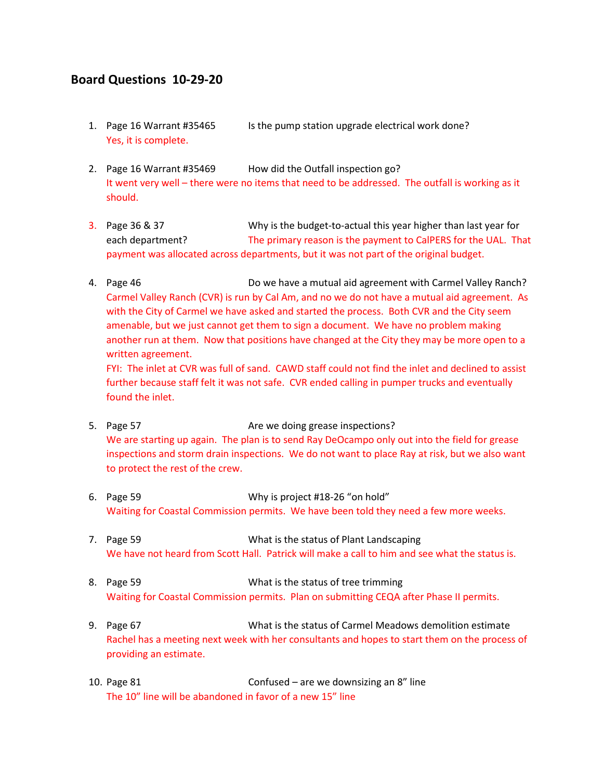## **Board Questions 10-29-20**

- 1. Page 16 Warrant #35465 Is the pump station upgrade electrical work done? Yes, it is complete.
- 2. Page 16 Warrant #35469 How did the Outfall inspection go? It went very well – there were no items that need to be addressed. The outfall is working as it should.
- 3. Page 36 & 37 Why is the budget-to-actual this year higher than last year for each department? The primary reason is the payment to CalPERS for the UAL. That payment was allocated across departments, but it was not part of the original budget.
- 4. Page 46 Do we have a mutual aid agreement with Carmel Valley Ranch? Carmel Valley Ranch (CVR) is run by Cal Am, and no we do not have a mutual aid agreement. As with the City of Carmel we have asked and started the process. Both CVR and the City seem amenable, but we just cannot get them to sign a document. We have no problem making another run at them. Now that positions have changed at the City they may be more open to a written agreement.

FYI: The inlet at CVR was full of sand. CAWD staff could not find the inlet and declined to assist further because staff felt it was not safe. CVR ended calling in pumper trucks and eventually found the inlet.

- 5. Page 57 Are we doing grease inspections? We are starting up again. The plan is to send Ray DeOcampo only out into the field for grease inspections and storm drain inspections. We do not want to place Ray at risk, but we also want to protect the rest of the crew.
- 6. Page 59 Why is project #18-26 "on hold" Waiting for Coastal Commission permits. We have been told they need a few more weeks.
- 7. Page 59 What is the status of Plant Landscaping We have not heard from Scott Hall. Patrick will make a call to him and see what the status is.
- 8. Page 59 What is the status of tree trimming Waiting for Coastal Commission permits. Plan on submitting CEQA after Phase II permits.
- 9. Page 67 What is the status of Carmel Meadows demolition estimate Rachel has a meeting next week with her consultants and hopes to start them on the process of providing an estimate.
- 10. Page 81 Confused are we downsizing an 8" line The 10" line will be abandoned in favor of a new 15" line